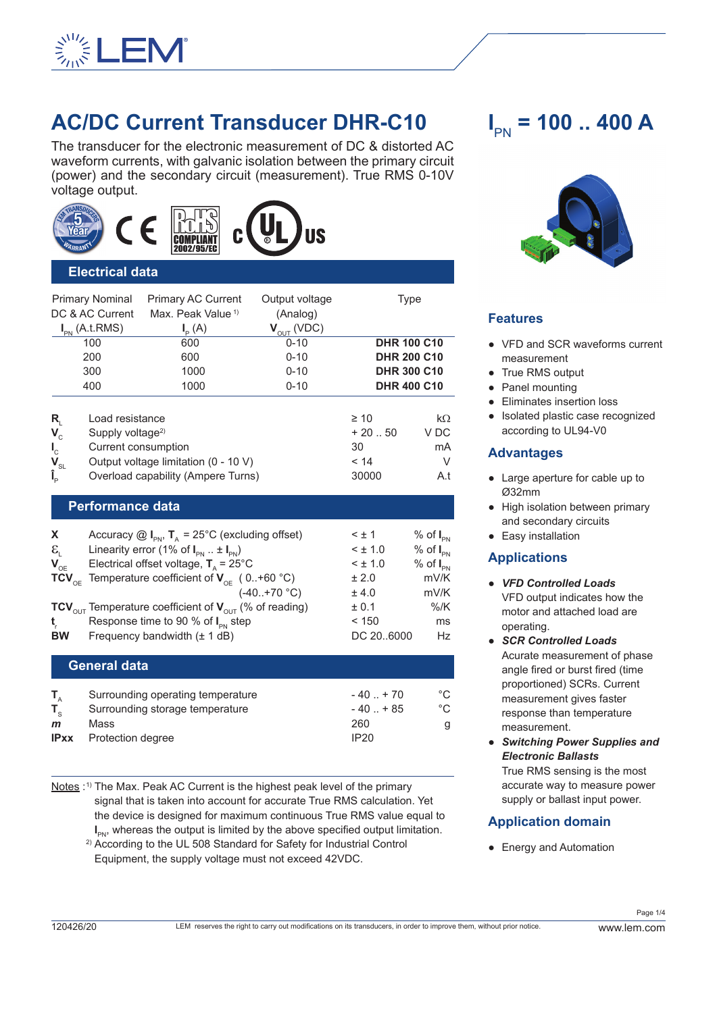

# **AC/DC Current Transducer DHR-C10**

The transducer for the electronic measurement of DC & distorted AC waveform currents, with galvanic isolation between the primary circuit (power) and the secondary circuit (measurement). True RMS 0-10V voltage output.





#### **Electrical data**

|                                                                                           | <b>Primary Nominal</b>                                                                                                                                | <b>Primary AC Current</b>                                                    | Output voltage  | Type                                         |                                     |  |  |  |
|-------------------------------------------------------------------------------------------|-------------------------------------------------------------------------------------------------------------------------------------------------------|------------------------------------------------------------------------------|-----------------|----------------------------------------------|-------------------------------------|--|--|--|
| DC & AC Current                                                                           |                                                                                                                                                       | Max. Peak Value <sup>1)</sup>                                                | (Analog)        |                                              |                                     |  |  |  |
|                                                                                           | $I_{PN}$ (A.t.RMS)                                                                                                                                    | $I_{\rm p}(A)$                                                               | $V_{OUT}$ (VDC) |                                              |                                     |  |  |  |
|                                                                                           | 100                                                                                                                                                   | 600                                                                          | $0 - 10$        |                                              | <b>DHR 100 C10</b>                  |  |  |  |
|                                                                                           | 200                                                                                                                                                   | 600                                                                          | $0 - 10$        |                                              | <b>DHR 200 C10</b>                  |  |  |  |
| 300                                                                                       |                                                                                                                                                       | 1000                                                                         | $0 - 10$        | <b>DHR 300 C10</b>                           |                                     |  |  |  |
| 400                                                                                       |                                                                                                                                                       | 1000                                                                         | $0 - 10$        | <b>DHR 400 C10</b>                           |                                     |  |  |  |
| $R_{i}$<br>$\mathbf{V}_{\rm c}$<br>$\mathbf{I}_{\rm c}$<br>$\mathbf{V}_{\text{SL}}$<br>Î, | Load resistance<br>Supply voltage <sup>2)</sup><br>Current consumption                                                                                | Output voltage limitation $(0 - 10 V)$<br>Overload capability (Ampere Turns) |                 | $\geq 10$<br>$+20.50$<br>30<br>< 14<br>30000 | $k\Omega$<br>V DC<br>mA<br>V<br>A.t |  |  |  |
| <b>Performance data</b>                                                                   |                                                                                                                                                       |                                                                              |                 |                                              |                                     |  |  |  |
| X.<br>$\mathcal{E}_{i}$                                                                   | Accuracy $\textcircled{a}$ I <sub>PN</sub> , T <sub>A</sub> = 25°C (excluding offset)<br>Linearity error (1% of $I_{\text{pN}}$ $\pm I_{\text{pN}}$ ) |                                                                              |                 | $\leq \pm 1$<br>$3 \pm 1.0$                  | $%$ of $I_{PN}$<br>$%$ of $I_{PN}$  |  |  |  |
| $\mathbf{V}_{\text{OE}}$                                                                  |                                                                                                                                                       | Electrical offset voltage, $T_a$ = 25°C                                      |                 | $<$ ± 1.0                                    | $%$ of $I_{PN}$                     |  |  |  |
| $TCV_{OE}$                                                                                |                                                                                                                                                       | Temperature coefficient of $V_{\text{OF}}$ (0+60 °C)                         |                 | ± 2.0                                        | mV/K                                |  |  |  |
|                                                                                           |                                                                                                                                                       |                                                                              |                 |                                              |                                     |  |  |  |

 $(-40.+70 °C)$   $\pm 4.0$  mV/K **TCV**<sub>OUT</sub> Temperature coefficient of **V**<sub>OUT</sub> (% of reading)  $\qquad \qquad \pm 0.1$  %/K<br> **t**Response time to 90 % of L, step  $\qquad \qquad$  < 150
ms **t** r Response time to 90 % of I<sub>PN</sub> step  $\leq 150$  ms **BW** Frequency bandwidth ( $\pm$  1 dB) DC 20..6000 Hz

#### **General data**

|              | Surrounding operating temperature | $-40$ $+70$ |    |
|--------------|-----------------------------------|-------------|----|
|              | Surrounding storage temperature   | $-40$ $+85$ | °C |
| $\mathbf{m}$ | Mass                              | 260         |    |
| <b>IPxx</b>  | Protection degree                 | IP20        |    |

Notes :<sup>1)</sup> The Max. Peak AC Current is the highest peak level of the primary signal that is taken into account for accurate True RMS calculation. Yet the device is designed for maximum continuous True RMS value equal to **I**  $I_{PN}$ , whereas the output is limited by the above specified output limitation.

2) According to the UL 508 Standard for Safety for Industrial Control Equipment, the supply voltage must not exceed 42VDC.

# **I** PN **= 100 .. 400 A**



#### **Features**

- VFD and SCR waveforms current measurement
- True RMS output
- Panel mounting
- Eliminates insertion loss
- Isolated plastic case recognized according to UL94-V0

#### **Advantages**

- Large aperture for cable up to Ø32mm
- High isolation between primary and secondary circuits
- Easy installation

#### **Applications**

- *VFD Controlled Loads* VFD output indicates how the motor and attached load are operating.
- *SCR Controlled Loads* Acurate measurement of phase angle fired or burst fired (time proportioned) SCRs. Current measurement gives faster response than temperature measurement.
- *Switching Power Supplies and Electronic Ballasts* True RMS sensing is the most accurate way to measure power supply or ballast input power.

#### **Application domain**

● Energy and Automation

Page 1/4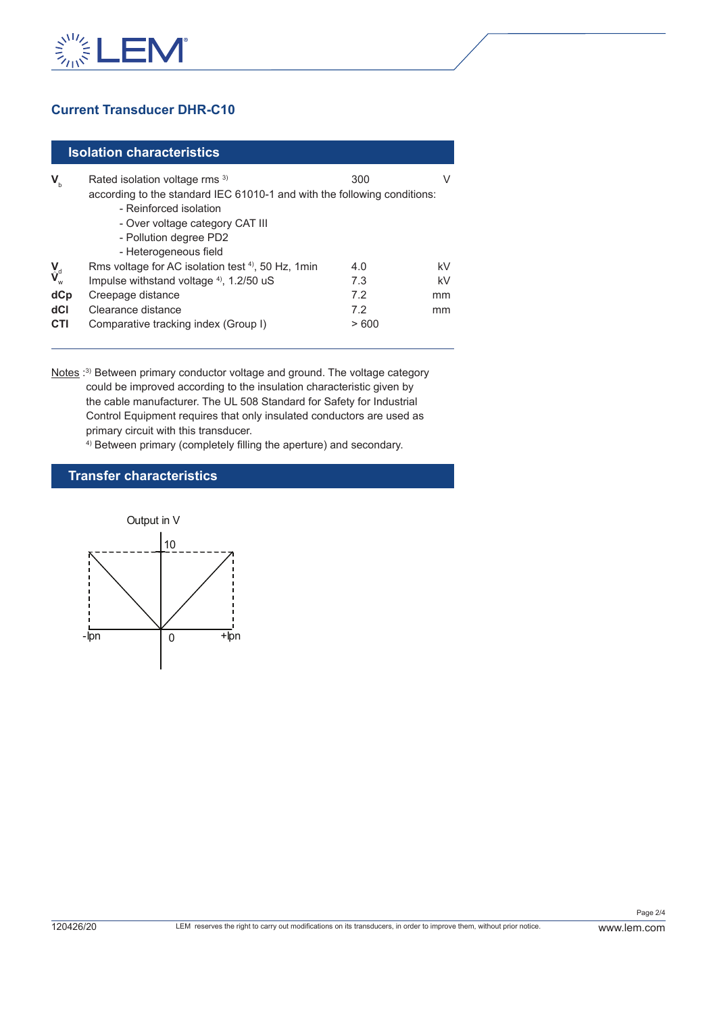

## **Current Transducer DHR-C10**

#### **Isolation characteristics**

| $\mathbf{V}_{\rm b}$                                                                                                             | Rated isolation voltage rms 3)<br>according to the standard IEC 61010-1 and with the following conditions:                                                                                               | 300                              |                      |
|----------------------------------------------------------------------------------------------------------------------------------|----------------------------------------------------------------------------------------------------------------------------------------------------------------------------------------------------------|----------------------------------|----------------------|
|                                                                                                                                  | - Reinforced isolation<br>- Over voltage category CAT III<br>- Pollution degree PD2<br>- Heterogeneous field                                                                                             |                                  |                      |
| $\overset{\mathbf{V}}{\mathbf{V}}_{\!\scriptscriptstyle\mathrm{w}}^{\!\scriptscriptstyle\mathrm{d}}$<br>dCp<br>dCl<br><b>CTI</b> | Rms voltage for AC isolation test <sup>4)</sup> , 50 Hz, 1 min<br>Impulse withstand voltage <sup>4)</sup> , 1.2/50 uS<br>Creepage distance<br>Clearance distance<br>Comparative tracking index (Group I) | 4.0<br>7.3<br>7.2<br>7.2<br>>600 | kV<br>kV<br>mm<br>mm |

Notes :<sup>3)</sup> Between primary conductor voltage and ground. The voltage category could be improved according to the insulation characteristic given by the cable manufacturer. The UL 508 Standard for Safety for Industrial Control Equipment requires that only insulated conductors are used as primary circuit with this transducer.

4) Between primary (completely filling the aperture) and secondary.

#### **Transfer characteristics**

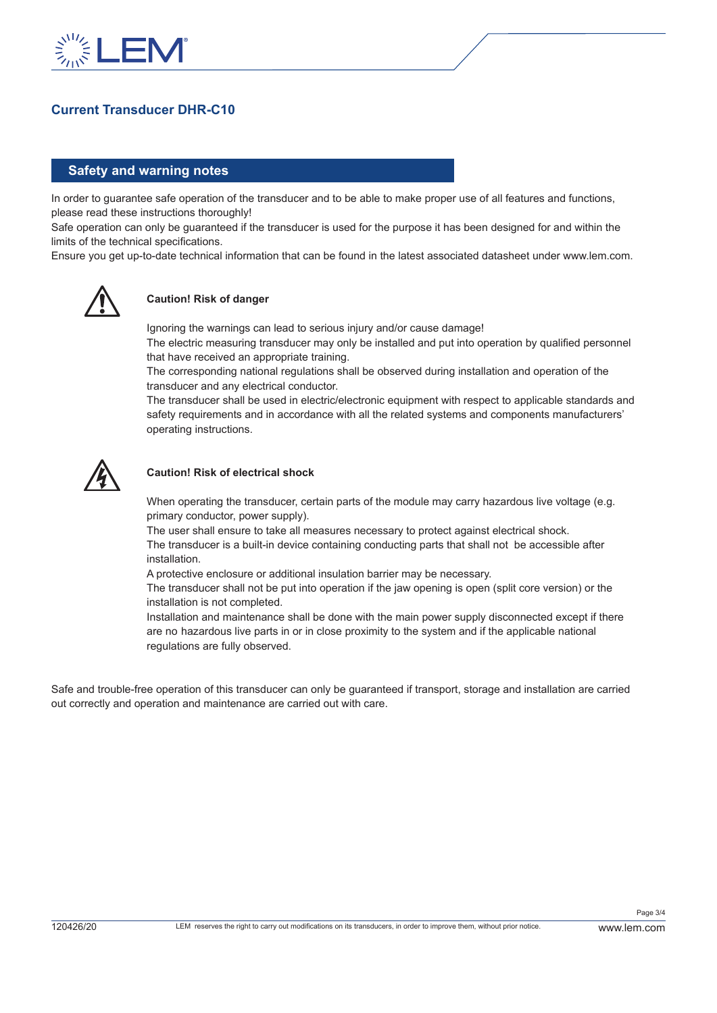

### **Current Transducer DHR-C10**

#### **Safety and warning notes**

In order to guarantee safe operation of the transducer and to be able to make proper use of all features and functions, please read these instructions thoroughly!

Safe operation can only be guaranteed if the transducer is used for the purpose it has been designed for and within the limits of the technical specifications.

Ensure you get up-to-date technical information that can be found in the latest associated datasheet under www.lem.com.



#### **Caution! Risk of danger**

Ignoring the warnings can lead to serious injury and/or cause damage!

The electric measuring transducer may only be installed and put into operation by qualified personnel that have received an appropriate training.

The corresponding national regulations shall be observed during installation and operation of the transducer and any electrical conductor.

The transducer shall be used in electric/electronic equipment with respect to applicable standards and safety requirements and in accordance with all the related systems and components manufacturers' operating instructions.



#### **Caution! Risk of electrical shock**

When operating the transducer, certain parts of the module may carry hazardous live voltage (e.g. primary conductor, power supply).

The user shall ensure to take all measures necessary to protect against electrical shock. The transducer is a built-in device containing conducting parts that shall not be accessible after installation.

A protective enclosure or additional insulation barrier may be necessary.

The transducer shall not be put into operation if the jaw opening is open (split core version) or the installation is not completed.

Installation and maintenance shall be done with the main power supply disconnected except if there are no hazardous live parts in or in close proximity to the system and if the applicable national regulations are fully observed.

Safe and trouble-free operation of this transducer can only be guaranteed if transport, storage and installation are carried out correctly and operation and maintenance are carried out with care.

Page 3/4